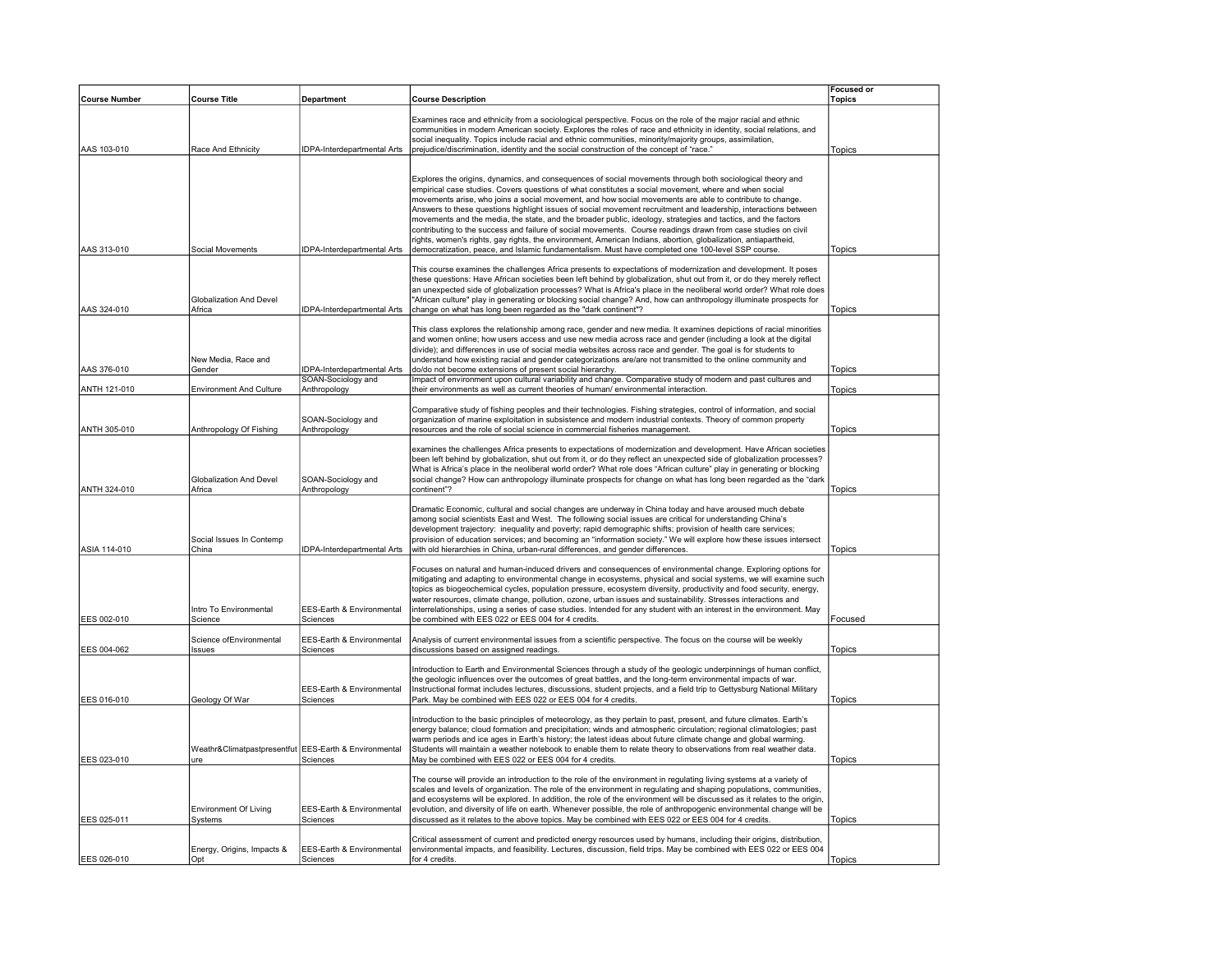| <b>Course Title</b><br>Department<br><b>Course Description</b><br><b>Topics</b><br>Examines race and ethnicity from a sociological perspective. Focus on the role of the major racial and ethnic<br>communities in modern American society. Explores the roles of race and ethnicity in identity, social relations, and<br>social inequality. Topics include racial and ethnic communities, minority/majority groups, assimilation,<br>Race And Ethnicity<br><b>IDPA-Interdepartmental Arts</b><br>prejudice/discrimination, identity and the social construction of the concept of "race."<br><b>Topics</b><br>Explores the origins, dynamics, and consequences of social movements through both sociological theory and<br>empirical case studies. Covers questions of what constitutes a social movement, where and when social<br>movements arise, who joins a social movement, and how social movements are able to contribute to change.<br>Answers to these questions highlight issues of social movement recruitment and leadership, interactions between<br>movements and the media, the state, and the broader public, ideology, strategies and tactics, and the factors<br>contributing to the success and failure of social movements. Course readings drawn from case studies on civil<br>rights, women's rights, gay rights, the environment, American Indians, abortion, globalization, antiapartheid,<br>Social Movements<br>DPA-Interdepartmental Arts<br>democratization, peace, and Islamic fundamentalism. Must have completed one 100-level SSP course.<br><b>Topics</b><br>This course examines the challenges Africa presents to expectations of modernization and development. It poses<br>these questions: Have African societies been left behind by globalization, shut out from it, or do they merely reflect<br>an unexpected side of globalization processes? What is Africa's place in the neoliberal world order? What role does<br>"African culture" play in generating or blocking social change? And, how can anthropology illuminate prospects for<br><b>Globalization And Devel</b><br>Africa<br><b>IDPA-Interdepartmental Arts</b><br>change on what has long been regarded as the "dark continent"?<br><b>Topics</b><br>This class explores the relationship among race, gender and new media. It examines depictions of racial minorities<br>and women online; how users access and use new media across race and gender (including a look at the digital<br>divide); and differences in use of social media websites across race and gender. The goal is for students to<br>New Media, Race and<br>understand how existing racial and gender categorizations are/are not transmitted to the online community and<br>DPA-Interdepartmental Arts<br>do/do not become extensions of present social hierarchy.<br>Gender<br>Topics<br>SOAN-Sociology and<br>Impact of environment upon cultural variability and change. Comparative study of modern and past cultures and<br>ANTH 121-010<br><b>Environment And Culture</b><br>Anthropology<br>their environments as well as current theories of human/ environmental interaction.<br>Topics<br>Comparative study of fishing peoples and their technologies. Fishing strategies, control of information, and social<br>SOAN-Sociology and<br>organization of marine exploitation in subsistence and modern industrial contexts. Theory of common property<br>Anthropology Of Fishing<br>resources and the role of social science in commercial fisheries management.<br>Anthropology<br><b>Topics</b><br>examines the challenges Africa presents to expectations of modernization and development. Have African societies<br>been left behind by globalization, shut out from it, or do they reflect an unexpected side of globalization processes?<br>What is Africa's place in the neoliberal world order? What role does "African culture" play in generating or blocking<br>Globalization And Devel<br>SOAN-Sociology and<br>social change? How can anthropology illuminate prospects for change on what has long been regarded as the "dark<br>Africa<br>Anthropology<br>continent"?<br><b>Topics</b><br>Dramatic Economic, cultural and social changes are underway in China today and have aroused much debate<br>among social scientists East and West. The following social issues are critical for understanding China's<br>development trajectory: inequality and poverty; rapid demographic shifts; provision of health care services;<br>provision of education services; and becoming an "information society." We will explore how these issues intersect<br>Social Issues In Contemp<br><b>IDPA-Interdepartmental Arts</b><br>with old hierarchies in China, urban-rural differences, and gender differences.<br>China<br><b>Topics</b><br>Focuses on natural and human-induced drivers and consequences of environmental change. Exploring options for<br>mitigating and adapting to environmental change in ecosystems, physical and social systems, we will examine such<br>topics as biogeochemical cycles, population pressure, ecosystem diversity, productivity and food security, energy,<br>water resources, climate change, pollution, ozone, urban issues and sustainability. Stresses interactions and<br>interrelationships, using a series of case studies. Intended for any student with an interest in the environment. May<br>ntro To Environmental<br>EES-Earth & Environmental<br>Science<br>Sciences<br>be combined with EES 022 or EES 004 for 4 credits.<br>Focused<br>Science ofEnvironmental<br>EES-Earth & Environmental<br>Analysis of current environmental issues from a scientific perspective. The focus on the course will be weekly<br>Sciences<br>discussions based on assigned readings.<br>Issues<br><b>Topics</b><br>Introduction to Earth and Environmental Sciences through a study of the geologic underpinnings of human conflict,<br>the geologic influences over the outcomes of great battles, and the long-term environmental impacts of war.<br>Instructional format includes lectures, discussions, student projects, and a field trip to Gettysburg National Military<br>EES-Earth & Environmental<br>Park. May be combined with EES 022 or EES 004 for 4 credits.<br>Geology Of War<br>Sciences<br>Topics<br>Introduction to the basic principles of meteorology, as they pertain to past, present, and future climates. Earth's<br>energy balance; cloud formation and precipitation; winds and atmospheric circulation; regional climatologies; past<br>warm periods and ice ages in Earth's history; the latest ideas about future climate change and global warming.<br>Weathr&Climatpastpresentfut EES-Earth & Environmental<br>Students will maintain a weather notebook to enable them to relate theory to observations from real weather data.<br>May be combined with EES 022 or EES 004 for 4 credits.<br><b>Topics</b><br>Sciences<br>ure<br>The course will provide an introduction to the role of the environment in regulating living systems at a variety of<br>scales and levels of organization. The role of the environment in regulating and shaping populations, communities,<br>and ecosystems will be explored. In addition, the role of the environment will be discussed as it relates to the origin,<br><b>Environment Of Living</b><br>EES-Earth & Environmental<br>evolution, and diversity of life on earth. Whenever possible, the role of anthropogenic environmental change will be<br>discussed as it relates to the above topics. May be combined with EES 022 or EES 004 for 4 credits.<br>Systems<br>Sciences<br>Topics<br>Critical assessment of current and predicted energy resources used by humans, including their origins, distribution,<br>Energy, Origins, Impacts &<br>EES-Earth & Environmental<br>environmental impacts, and feasibility. Lectures, discussion, field trips. May be combined with EES 022 or EES 004<br>Opt<br>Sciences<br>lfor 4 credits. |                      |  | <b>Focused or</b> |
|----------------------------------------------------------------------------------------------------------------------------------------------------------------------------------------------------------------------------------------------------------------------------------------------------------------------------------------------------------------------------------------------------------------------------------------------------------------------------------------------------------------------------------------------------------------------------------------------------------------------------------------------------------------------------------------------------------------------------------------------------------------------------------------------------------------------------------------------------------------------------------------------------------------------------------------------------------------------------------------------------------------------------------------------------------------------------------------------------------------------------------------------------------------------------------------------------------------------------------------------------------------------------------------------------------------------------------------------------------------------------------------------------------------------------------------------------------------------------------------------------------------------------------------------------------------------------------------------------------------------------------------------------------------------------------------------------------------------------------------------------------------------------------------------------------------------------------------------------------------------------------------------------------------------------------------------------------------------------------------------------------------------------------------------------------------------------------------------------------------------------------------------------------------------------------------------------------------------------------------------------------------------------------------------------------------------------------------------------------------------------------------------------------------------------------------------------------------------------------------------------------------------------------------------------------------------------------------------------------------------------------------------------------------------------------------------------------------------------------------------------------------------------------------------------------------------------------------------------------------------------------------------------------------------------------------------------------------------------------------------------------------------------------------------------------------------------------------------------------------------------------------------------------------------------------------------------------------------------------------------------------------------------------------------------------------------------------------------------------------------------------------------------------------------------------------------------------------------------------------------------------------------------------------------------------------------------------------------------------------------------------------------------------------------------------------------------------------------------------------------------------------------------------------------------------------------------------------------------------------------------------------------------------------------------------------------------------------------------------------------------------------------------------------------------------------------------------------------------------------------------------------------------------------------------------------------------------------------------------------------------------------------------------------------------------------------------------------------------------------------------------------------------------------------------------------------------------------------------------------------------------------------------------------------------------------------------------------------------------------------------------------------------------------------------------------------------------------------------------------------------------------------------------------------------------------------------------------------------------------------------------------------------------------------------------------------------------------------------------------------------------------------------------------------------------------------------------------------------------------------------------------------------------------------------------------------------------------------------------------------------------------------------------------------------------------------------------------------------------------------------------------------------------------------------------------------------------------------------------------------------------------------------------------------------------------------------------------------------------------------------------------------------------------------------------------------------------------------------------------------------------------------------------------------------------------------------------------------------------------------------------------------------------------------------------------------------------------------------------------------------------------------------------------------------------------------------------------------------------------------------------------------------------------------------------------------------------------------------------------------------------------------------------------------------------------------------------------------------------------------------------------------------------------------------------------------------------------------------------------------------------------------------------------------------------------------------------------------------------------------------------------------------------------------------------------------------------------------------------------------------------------------------------------------------------------------------------------------------------------------------------------------------------------------------------------------------------------------------------------------------------------------------------------------------------------------------------------------------------------------------------------------------------------------------------------------------------------------------------------------------------------------------------------------------------------------------------------------------------------------------------------------------------------------------------------------------------------------------------------------------------------------------------------------------------------------------------------------------------------------------------------------------------------------------------------------------------------------------------------------------------------------------------------------------------------------------------------------------------------------------------------------------------------------------------------------------------------------------------------------------------------------------------------------------------------|----------------------|--|-------------------|
|                                                                                                                                                                                                                                                                                                                                                                                                                                                                                                                                                                                                                                                                                                                                                                                                                                                                                                                                                                                                                                                                                                                                                                                                                                                                                                                                                                                                                                                                                                                                                                                                                                                                                                                                                                                                                                                                                                                                                                                                                                                                                                                                                                                                                                                                                                                                                                                                                                                                                                                                                                                                                                                                                                                                                                                                                                                                                                                                                                                                                                                                                                                                                                                                                                                                                                                                                                                                                                                                                                                                                                                                                                                                                                                                                                                                                                                                                                                                                                                                                                                                                                                                                                                                                                                                                                                                                                                                                                                                                                                                                                                                                                                                                                                                                                                                                                                                                                                                                                                                                                                                                                                                                                                                                                                                                                                                                                                                                                                                                                                                                                                                                                                                                                                                                                                                                                                                                                                                                                                                                                                                                                                                                                                                                                                                                                                                                                                                                                                                                                                                                                                                                                                                                                                                                                                                                                                                                                                                                                                                                                                                                                                                                                                                                                                                                                                                                                                                                                                                                                                                                                                                                                                                                                                                                                                                                                                                                                                                                                                                                                                                | <b>Course Number</b> |  |                   |
|                                                                                                                                                                                                                                                                                                                                                                                                                                                                                                                                                                                                                                                                                                                                                                                                                                                                                                                                                                                                                                                                                                                                                                                                                                                                                                                                                                                                                                                                                                                                                                                                                                                                                                                                                                                                                                                                                                                                                                                                                                                                                                                                                                                                                                                                                                                                                                                                                                                                                                                                                                                                                                                                                                                                                                                                                                                                                                                                                                                                                                                                                                                                                                                                                                                                                                                                                                                                                                                                                                                                                                                                                                                                                                                                                                                                                                                                                                                                                                                                                                                                                                                                                                                                                                                                                                                                                                                                                                                                                                                                                                                                                                                                                                                                                                                                                                                                                                                                                                                                                                                                                                                                                                                                                                                                                                                                                                                                                                                                                                                                                                                                                                                                                                                                                                                                                                                                                                                                                                                                                                                                                                                                                                                                                                                                                                                                                                                                                                                                                                                                                                                                                                                                                                                                                                                                                                                                                                                                                                                                                                                                                                                                                                                                                                                                                                                                                                                                                                                                                                                                                                                                                                                                                                                                                                                                                                                                                                                                                                                                                                                                | AAS 103-010          |  |                   |
|                                                                                                                                                                                                                                                                                                                                                                                                                                                                                                                                                                                                                                                                                                                                                                                                                                                                                                                                                                                                                                                                                                                                                                                                                                                                                                                                                                                                                                                                                                                                                                                                                                                                                                                                                                                                                                                                                                                                                                                                                                                                                                                                                                                                                                                                                                                                                                                                                                                                                                                                                                                                                                                                                                                                                                                                                                                                                                                                                                                                                                                                                                                                                                                                                                                                                                                                                                                                                                                                                                                                                                                                                                                                                                                                                                                                                                                                                                                                                                                                                                                                                                                                                                                                                                                                                                                                                                                                                                                                                                                                                                                                                                                                                                                                                                                                                                                                                                                                                                                                                                                                                                                                                                                                                                                                                                                                                                                                                                                                                                                                                                                                                                                                                                                                                                                                                                                                                                                                                                                                                                                                                                                                                                                                                                                                                                                                                                                                                                                                                                                                                                                                                                                                                                                                                                                                                                                                                                                                                                                                                                                                                                                                                                                                                                                                                                                                                                                                                                                                                                                                                                                                                                                                                                                                                                                                                                                                                                                                                                                                                                                                | AAS 313-010          |  |                   |
|                                                                                                                                                                                                                                                                                                                                                                                                                                                                                                                                                                                                                                                                                                                                                                                                                                                                                                                                                                                                                                                                                                                                                                                                                                                                                                                                                                                                                                                                                                                                                                                                                                                                                                                                                                                                                                                                                                                                                                                                                                                                                                                                                                                                                                                                                                                                                                                                                                                                                                                                                                                                                                                                                                                                                                                                                                                                                                                                                                                                                                                                                                                                                                                                                                                                                                                                                                                                                                                                                                                                                                                                                                                                                                                                                                                                                                                                                                                                                                                                                                                                                                                                                                                                                                                                                                                                                                                                                                                                                                                                                                                                                                                                                                                                                                                                                                                                                                                                                                                                                                                                                                                                                                                                                                                                                                                                                                                                                                                                                                                                                                                                                                                                                                                                                                                                                                                                                                                                                                                                                                                                                                                                                                                                                                                                                                                                                                                                                                                                                                                                                                                                                                                                                                                                                                                                                                                                                                                                                                                                                                                                                                                                                                                                                                                                                                                                                                                                                                                                                                                                                                                                                                                                                                                                                                                                                                                                                                                                                                                                                                                                | AAS 324-010          |  |                   |
|                                                                                                                                                                                                                                                                                                                                                                                                                                                                                                                                                                                                                                                                                                                                                                                                                                                                                                                                                                                                                                                                                                                                                                                                                                                                                                                                                                                                                                                                                                                                                                                                                                                                                                                                                                                                                                                                                                                                                                                                                                                                                                                                                                                                                                                                                                                                                                                                                                                                                                                                                                                                                                                                                                                                                                                                                                                                                                                                                                                                                                                                                                                                                                                                                                                                                                                                                                                                                                                                                                                                                                                                                                                                                                                                                                                                                                                                                                                                                                                                                                                                                                                                                                                                                                                                                                                                                                                                                                                                                                                                                                                                                                                                                                                                                                                                                                                                                                                                                                                                                                                                                                                                                                                                                                                                                                                                                                                                                                                                                                                                                                                                                                                                                                                                                                                                                                                                                                                                                                                                                                                                                                                                                                                                                                                                                                                                                                                                                                                                                                                                                                                                                                                                                                                                                                                                                                                                                                                                                                                                                                                                                                                                                                                                                                                                                                                                                                                                                                                                                                                                                                                                                                                                                                                                                                                                                                                                                                                                                                                                                                                                | AAS 376-010          |  |                   |
|                                                                                                                                                                                                                                                                                                                                                                                                                                                                                                                                                                                                                                                                                                                                                                                                                                                                                                                                                                                                                                                                                                                                                                                                                                                                                                                                                                                                                                                                                                                                                                                                                                                                                                                                                                                                                                                                                                                                                                                                                                                                                                                                                                                                                                                                                                                                                                                                                                                                                                                                                                                                                                                                                                                                                                                                                                                                                                                                                                                                                                                                                                                                                                                                                                                                                                                                                                                                                                                                                                                                                                                                                                                                                                                                                                                                                                                                                                                                                                                                                                                                                                                                                                                                                                                                                                                                                                                                                                                                                                                                                                                                                                                                                                                                                                                                                                                                                                                                                                                                                                                                                                                                                                                                                                                                                                                                                                                                                                                                                                                                                                                                                                                                                                                                                                                                                                                                                                                                                                                                                                                                                                                                                                                                                                                                                                                                                                                                                                                                                                                                                                                                                                                                                                                                                                                                                                                                                                                                                                                                                                                                                                                                                                                                                                                                                                                                                                                                                                                                                                                                                                                                                                                                                                                                                                                                                                                                                                                                                                                                                                                                |                      |  |                   |
|                                                                                                                                                                                                                                                                                                                                                                                                                                                                                                                                                                                                                                                                                                                                                                                                                                                                                                                                                                                                                                                                                                                                                                                                                                                                                                                                                                                                                                                                                                                                                                                                                                                                                                                                                                                                                                                                                                                                                                                                                                                                                                                                                                                                                                                                                                                                                                                                                                                                                                                                                                                                                                                                                                                                                                                                                                                                                                                                                                                                                                                                                                                                                                                                                                                                                                                                                                                                                                                                                                                                                                                                                                                                                                                                                                                                                                                                                                                                                                                                                                                                                                                                                                                                                                                                                                                                                                                                                                                                                                                                                                                                                                                                                                                                                                                                                                                                                                                                                                                                                                                                                                                                                                                                                                                                                                                                                                                                                                                                                                                                                                                                                                                                                                                                                                                                                                                                                                                                                                                                                                                                                                                                                                                                                                                                                                                                                                                                                                                                                                                                                                                                                                                                                                                                                                                                                                                                                                                                                                                                                                                                                                                                                                                                                                                                                                                                                                                                                                                                                                                                                                                                                                                                                                                                                                                                                                                                                                                                                                                                                                                                | ANTH 305-010         |  |                   |
|                                                                                                                                                                                                                                                                                                                                                                                                                                                                                                                                                                                                                                                                                                                                                                                                                                                                                                                                                                                                                                                                                                                                                                                                                                                                                                                                                                                                                                                                                                                                                                                                                                                                                                                                                                                                                                                                                                                                                                                                                                                                                                                                                                                                                                                                                                                                                                                                                                                                                                                                                                                                                                                                                                                                                                                                                                                                                                                                                                                                                                                                                                                                                                                                                                                                                                                                                                                                                                                                                                                                                                                                                                                                                                                                                                                                                                                                                                                                                                                                                                                                                                                                                                                                                                                                                                                                                                                                                                                                                                                                                                                                                                                                                                                                                                                                                                                                                                                                                                                                                                                                                                                                                                                                                                                                                                                                                                                                                                                                                                                                                                                                                                                                                                                                                                                                                                                                                                                                                                                                                                                                                                                                                                                                                                                                                                                                                                                                                                                                                                                                                                                                                                                                                                                                                                                                                                                                                                                                                                                                                                                                                                                                                                                                                                                                                                                                                                                                                                                                                                                                                                                                                                                                                                                                                                                                                                                                                                                                                                                                                                                                | ANTH 324-010         |  |                   |
|                                                                                                                                                                                                                                                                                                                                                                                                                                                                                                                                                                                                                                                                                                                                                                                                                                                                                                                                                                                                                                                                                                                                                                                                                                                                                                                                                                                                                                                                                                                                                                                                                                                                                                                                                                                                                                                                                                                                                                                                                                                                                                                                                                                                                                                                                                                                                                                                                                                                                                                                                                                                                                                                                                                                                                                                                                                                                                                                                                                                                                                                                                                                                                                                                                                                                                                                                                                                                                                                                                                                                                                                                                                                                                                                                                                                                                                                                                                                                                                                                                                                                                                                                                                                                                                                                                                                                                                                                                                                                                                                                                                                                                                                                                                                                                                                                                                                                                                                                                                                                                                                                                                                                                                                                                                                                                                                                                                                                                                                                                                                                                                                                                                                                                                                                                                                                                                                                                                                                                                                                                                                                                                                                                                                                                                                                                                                                                                                                                                                                                                                                                                                                                                                                                                                                                                                                                                                                                                                                                                                                                                                                                                                                                                                                                                                                                                                                                                                                                                                                                                                                                                                                                                                                                                                                                                                                                                                                                                                                                                                                                                                | ASIA 114-010         |  |                   |
|                                                                                                                                                                                                                                                                                                                                                                                                                                                                                                                                                                                                                                                                                                                                                                                                                                                                                                                                                                                                                                                                                                                                                                                                                                                                                                                                                                                                                                                                                                                                                                                                                                                                                                                                                                                                                                                                                                                                                                                                                                                                                                                                                                                                                                                                                                                                                                                                                                                                                                                                                                                                                                                                                                                                                                                                                                                                                                                                                                                                                                                                                                                                                                                                                                                                                                                                                                                                                                                                                                                                                                                                                                                                                                                                                                                                                                                                                                                                                                                                                                                                                                                                                                                                                                                                                                                                                                                                                                                                                                                                                                                                                                                                                                                                                                                                                                                                                                                                                                                                                                                                                                                                                                                                                                                                                                                                                                                                                                                                                                                                                                                                                                                                                                                                                                                                                                                                                                                                                                                                                                                                                                                                                                                                                                                                                                                                                                                                                                                                                                                                                                                                                                                                                                                                                                                                                                                                                                                                                                                                                                                                                                                                                                                                                                                                                                                                                                                                                                                                                                                                                                                                                                                                                                                                                                                                                                                                                                                                                                                                                                                                | EES 002-010          |  |                   |
|                                                                                                                                                                                                                                                                                                                                                                                                                                                                                                                                                                                                                                                                                                                                                                                                                                                                                                                                                                                                                                                                                                                                                                                                                                                                                                                                                                                                                                                                                                                                                                                                                                                                                                                                                                                                                                                                                                                                                                                                                                                                                                                                                                                                                                                                                                                                                                                                                                                                                                                                                                                                                                                                                                                                                                                                                                                                                                                                                                                                                                                                                                                                                                                                                                                                                                                                                                                                                                                                                                                                                                                                                                                                                                                                                                                                                                                                                                                                                                                                                                                                                                                                                                                                                                                                                                                                                                                                                                                                                                                                                                                                                                                                                                                                                                                                                                                                                                                                                                                                                                                                                                                                                                                                                                                                                                                                                                                                                                                                                                                                                                                                                                                                                                                                                                                                                                                                                                                                                                                                                                                                                                                                                                                                                                                                                                                                                                                                                                                                                                                                                                                                                                                                                                                                                                                                                                                                                                                                                                                                                                                                                                                                                                                                                                                                                                                                                                                                                                                                                                                                                                                                                                                                                                                                                                                                                                                                                                                                                                                                                                                                | EES 004-062          |  |                   |
|                                                                                                                                                                                                                                                                                                                                                                                                                                                                                                                                                                                                                                                                                                                                                                                                                                                                                                                                                                                                                                                                                                                                                                                                                                                                                                                                                                                                                                                                                                                                                                                                                                                                                                                                                                                                                                                                                                                                                                                                                                                                                                                                                                                                                                                                                                                                                                                                                                                                                                                                                                                                                                                                                                                                                                                                                                                                                                                                                                                                                                                                                                                                                                                                                                                                                                                                                                                                                                                                                                                                                                                                                                                                                                                                                                                                                                                                                                                                                                                                                                                                                                                                                                                                                                                                                                                                                                                                                                                                                                                                                                                                                                                                                                                                                                                                                                                                                                                                                                                                                                                                                                                                                                                                                                                                                                                                                                                                                                                                                                                                                                                                                                                                                                                                                                                                                                                                                                                                                                                                                                                                                                                                                                                                                                                                                                                                                                                                                                                                                                                                                                                                                                                                                                                                                                                                                                                                                                                                                                                                                                                                                                                                                                                                                                                                                                                                                                                                                                                                                                                                                                                                                                                                                                                                                                                                                                                                                                                                                                                                                                                                | EES 016-010          |  |                   |
|                                                                                                                                                                                                                                                                                                                                                                                                                                                                                                                                                                                                                                                                                                                                                                                                                                                                                                                                                                                                                                                                                                                                                                                                                                                                                                                                                                                                                                                                                                                                                                                                                                                                                                                                                                                                                                                                                                                                                                                                                                                                                                                                                                                                                                                                                                                                                                                                                                                                                                                                                                                                                                                                                                                                                                                                                                                                                                                                                                                                                                                                                                                                                                                                                                                                                                                                                                                                                                                                                                                                                                                                                                                                                                                                                                                                                                                                                                                                                                                                                                                                                                                                                                                                                                                                                                                                                                                                                                                                                                                                                                                                                                                                                                                                                                                                                                                                                                                                                                                                                                                                                                                                                                                                                                                                                                                                                                                                                                                                                                                                                                                                                                                                                                                                                                                                                                                                                                                                                                                                                                                                                                                                                                                                                                                                                                                                                                                                                                                                                                                                                                                                                                                                                                                                                                                                                                                                                                                                                                                                                                                                                                                                                                                                                                                                                                                                                                                                                                                                                                                                                                                                                                                                                                                                                                                                                                                                                                                                                                                                                                                                | EES 023-010          |  |                   |
|                                                                                                                                                                                                                                                                                                                                                                                                                                                                                                                                                                                                                                                                                                                                                                                                                                                                                                                                                                                                                                                                                                                                                                                                                                                                                                                                                                                                                                                                                                                                                                                                                                                                                                                                                                                                                                                                                                                                                                                                                                                                                                                                                                                                                                                                                                                                                                                                                                                                                                                                                                                                                                                                                                                                                                                                                                                                                                                                                                                                                                                                                                                                                                                                                                                                                                                                                                                                                                                                                                                                                                                                                                                                                                                                                                                                                                                                                                                                                                                                                                                                                                                                                                                                                                                                                                                                                                                                                                                                                                                                                                                                                                                                                                                                                                                                                                                                                                                                                                                                                                                                                                                                                                                                                                                                                                                                                                                                                                                                                                                                                                                                                                                                                                                                                                                                                                                                                                                                                                                                                                                                                                                                                                                                                                                                                                                                                                                                                                                                                                                                                                                                                                                                                                                                                                                                                                                                                                                                                                                                                                                                                                                                                                                                                                                                                                                                                                                                                                                                                                                                                                                                                                                                                                                                                                                                                                                                                                                                                                                                                                                                | EES 025-011          |  |                   |
|                                                                                                                                                                                                                                                                                                                                                                                                                                                                                                                                                                                                                                                                                                                                                                                                                                                                                                                                                                                                                                                                                                                                                                                                                                                                                                                                                                                                                                                                                                                                                                                                                                                                                                                                                                                                                                                                                                                                                                                                                                                                                                                                                                                                                                                                                                                                                                                                                                                                                                                                                                                                                                                                                                                                                                                                                                                                                                                                                                                                                                                                                                                                                                                                                                                                                                                                                                                                                                                                                                                                                                                                                                                                                                                                                                                                                                                                                                                                                                                                                                                                                                                                                                                                                                                                                                                                                                                                                                                                                                                                                                                                                                                                                                                                                                                                                                                                                                                                                                                                                                                                                                                                                                                                                                                                                                                                                                                                                                                                                                                                                                                                                                                                                                                                                                                                                                                                                                                                                                                                                                                                                                                                                                                                                                                                                                                                                                                                                                                                                                                                                                                                                                                                                                                                                                                                                                                                                                                                                                                                                                                                                                                                                                                                                                                                                                                                                                                                                                                                                                                                                                                                                                                                                                                                                                                                                                                                                                                                                                                                                                                                | EES 026-010          |  | Topics            |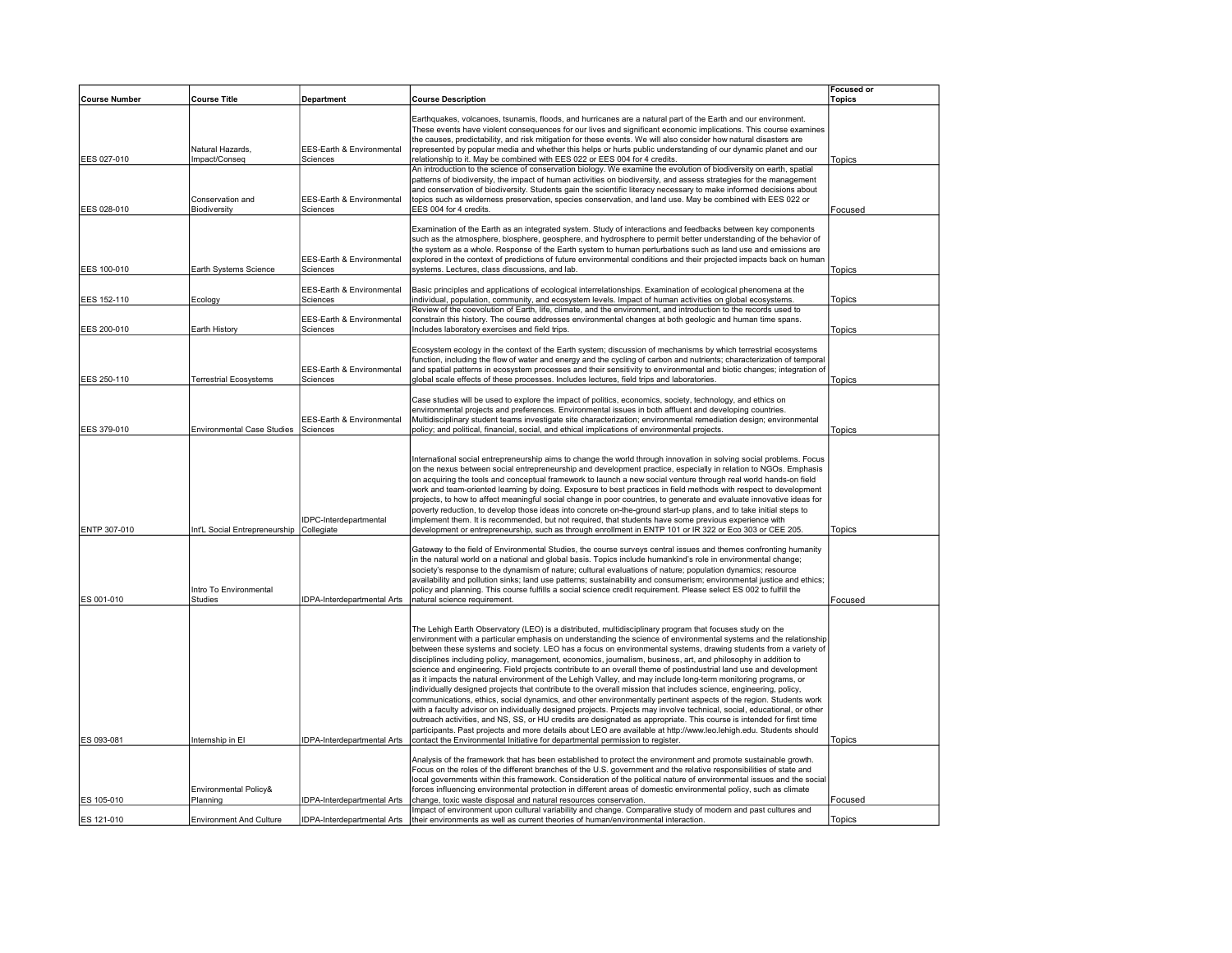|                      |                                   |                                             |                                                                                                                                                                                                                                                                                                                                                                                                                                                                                                                                                                                                                                                                                                                                                                                                                                                                                                                                                                                                                                                                                                                                                                                                                                                                                                                            | <b>Focused or</b> |
|----------------------|-----------------------------------|---------------------------------------------|----------------------------------------------------------------------------------------------------------------------------------------------------------------------------------------------------------------------------------------------------------------------------------------------------------------------------------------------------------------------------------------------------------------------------------------------------------------------------------------------------------------------------------------------------------------------------------------------------------------------------------------------------------------------------------------------------------------------------------------------------------------------------------------------------------------------------------------------------------------------------------------------------------------------------------------------------------------------------------------------------------------------------------------------------------------------------------------------------------------------------------------------------------------------------------------------------------------------------------------------------------------------------------------------------------------------------|-------------------|
| <b>Course Number</b> | <b>Course Title</b>               | <b>Department</b>                           | <b>Course Description</b>                                                                                                                                                                                                                                                                                                                                                                                                                                                                                                                                                                                                                                                                                                                                                                                                                                                                                                                                                                                                                                                                                                                                                                                                                                                                                                  | <b>Topics</b>     |
| EES 027-010          | Natural Hazards.<br>Impact/Conseq | EES-Earth & Environmental<br>Sciences       | Earthquakes, volcanoes, tsunamis, floods, and hurricanes are a natural part of the Earth and our environment.<br>These events have violent consequences for our lives and significant economic implications. This course examines<br>the causes, predictability, and risk mitigation for these events. We will also consider how natural disasters are<br>represented by popular media and whether this helps or hurts public understanding of our dynamic planet and our<br>relationship to it. May be combined with EES 022 or EES 004 for 4 credits.                                                                                                                                                                                                                                                                                                                                                                                                                                                                                                                                                                                                                                                                                                                                                                    | <b>Topics</b>     |
| EES 028-010          | Conservation and<br>Biodiversity  | EES-Earth & Environmental<br>Sciences       | An introduction to the science of conservation biology. We examine the evolution of biodiversity on earth, spatial<br>patterns of biodiversity, the impact of human activities on biodiversity, and assess strategies for the management<br>and conservation of biodiversity. Students gain the scientific literacy necessary to make informed decisions about<br>topics such as wilderness preservation, species conservation, and land use. May be combined with EES 022 or<br>EES 004 for 4 credits.                                                                                                                                                                                                                                                                                                                                                                                                                                                                                                                                                                                                                                                                                                                                                                                                                    | Focused           |
| EES 100-010          | Earth Systems Science             | EES-Earth & Environmental<br>Sciences       | Examination of the Earth as an integrated system. Study of interactions and feedbacks between key components<br>such as the atmosphere, biosphere, geosphere, and hydrosphere to permit better understanding of the behavior of<br>the system as a whole. Response of the Earth system to human perturbations such as land use and emissions are<br>explored in the context of predictions of future environmental conditions and their projected impacts back on human<br>systems. Lectures, class discussions, and lab.                                                                                                                                                                                                                                                                                                                                                                                                                                                                                                                                                                                                                                                                                                                                                                                                  | <b>Topics</b>     |
| EES 152-110          | Ecology                           | EES-Earth & Environmental<br>Sciences       | Basic principles and applications of ecological interrelationships. Examination of ecological phenomena at the<br>individual, population, community, and ecosystem levels. Impact of human activities on global ecosystems.                                                                                                                                                                                                                                                                                                                                                                                                                                                                                                                                                                                                                                                                                                                                                                                                                                                                                                                                                                                                                                                                                                | <b>Topics</b>     |
| EES 200-010          | Earth History                     | EES-Earth & Environmental<br>Sciences       | Review of the coevolution of Earth, life, climate, and the environment, and introduction to the records used to<br>constrain this history. The course addresses environmental changes at both geologic and human time spans.<br>Includes laboratory exercises and field trips.                                                                                                                                                                                                                                                                                                                                                                                                                                                                                                                                                                                                                                                                                                                                                                                                                                                                                                                                                                                                                                             | <b>Topics</b>     |
| EES 250-110          | <b>Terrestrial Ecosystems</b>     | EES-Earth & Environmental<br>Sciences       | Ecosystem ecology in the context of the Earth system; discussion of mechanisms by which terrestrial ecosystems<br>function, including the flow of water and energy and the cycling of carbon and nutrients; characterization of temporal<br>and spatial patterns in ecosystem processes and their sensitivity to environmental and biotic changes; integration o<br>global scale effects of these processes. Includes lectures, field trips and laboratories.                                                                                                                                                                                                                                                                                                                                                                                                                                                                                                                                                                                                                                                                                                                                                                                                                                                              | Topics            |
| EES 379-010          | <b>Environmental Case Studies</b> | EES-Earth & Environmental<br>Sciences       | Case studies will be used to explore the impact of politics, economics, society, technology, and ethics on<br>environmental projects and preferences. Environmental issues in both affluent and developing countries.<br>Multidisciplinary student teams investigate site characterization; environmental remediation design; environmental<br>policy; and political, financial, social, and ethical implications of environmental projects.                                                                                                                                                                                                                                                                                                                                                                                                                                                                                                                                                                                                                                                                                                                                                                                                                                                                               | <b>Topics</b>     |
| ENTP 307-010         | Int'L Social Entrepreneurship     | <b>IDPC-Interdepartmental</b><br>Collegiate | International social entrepreneurship aims to change the world through innovation in solving social problems. Focus<br>on the nexus between social entrepreneurship and development practice, especially in relation to NGOs. Emphasis<br>on acquiring the tools and conceptual framework to launch a new social venture through real world hands-on field<br>work and team-oriented learning by doing. Exposure to best practices in field methods with respect to development<br>projects, to how to affect meaningful social change in poor countries, to generate and evaluate innovative ideas for<br>poverty reduction, to develop those ideas into concrete on-the-ground start-up plans, and to take initial steps to<br>implement them. It is recommended, but not required, that students have some previous experience with<br>development or entrepreneurship, such as through enrollment in ENTP 101 or IR 322 or Eco 303 or CEE 205.                                                                                                                                                                                                                                                                                                                                                                         | <b>Topics</b>     |
| ES 001-010           | Intro To Environmental<br>Studies | <b>IDPA-Interdepartmental Arts</b>          | Gateway to the field of Environmental Studies, the course surveys central issues and themes confronting humanity<br>in the natural world on a national and global basis. Topics include humankind's role in environmental change;<br>society's response to the dynamism of nature; cultural evaluations of nature; population dynamics; resource<br>availability and pollution sinks; land use patterns; sustainability and consumerism; environmental justice and ethics;<br>policy and planning. This course fulfills a social science credit requirement. Please select ES 002 to fulfill the<br>natural science requirement.                                                                                                                                                                                                                                                                                                                                                                                                                                                                                                                                                                                                                                                                                           | Focused           |
|                      |                                   |                                             | The Lehigh Earth Observatory (LEO) is a distributed, multidisciplinary program that focuses study on the<br>environment with a particular emphasis on understanding the science of environmental systems and the relationship<br>between these systems and society. LEO has a focus on environmental systems, drawing students from a variety of<br>disciplines including policy, management, economics, journalism, business, art, and philosophy in addition to<br>science and engineering. Field projects contribute to an overall theme of postindustrial land use and development<br>as it impacts the natural environment of the Lehigh Valley, and may include long-term monitoring programs, or<br>individually designed projects that contribute to the overall mission that includes science, engineering, policy,<br>communications, ethics, social dynamics, and other environmentally pertinent aspects of the region. Students work<br>with a faculty advisor on individually designed projects. Projects may involve technical, social, educational, or other<br>outreach activities, and NS, SS, or HU credits are designated as appropriate. This course is intended for first time<br>participants. Past projects and more details about LEO are available at http://www.leo.lehigh.edu. Students should |                   |
| ES 093-081           | Internship in El                  | IDPA-Interdepartmental Arts                 | contact the Environmental Initiative for departmental permission to register.                                                                                                                                                                                                                                                                                                                                                                                                                                                                                                                                                                                                                                                                                                                                                                                                                                                                                                                                                                                                                                                                                                                                                                                                                                              | Topics            |
| ES 105-010           | Environmental Policy&<br>Planning | <b>IDPA-Interdepartmental Arts</b>          | Analysis of the framework that has been established to protect the environment and promote sustainable growth.<br>Focus on the roles of the different branches of the U.S. government and the relative responsibilities of state and<br>local governments within this framework. Consideration of the political nature of environmental issues and the social<br>forces influencing environmental protection in different areas of domestic environmental policy, such as climate<br>change, toxic waste disposal and natural resources conservation.<br>Impact of environment upon cultural variability and change. Comparative study of modern and past cultures and                                                                                                                                                                                                                                                                                                                                                                                                                                                                                                                                                                                                                                                     | Focused           |
| ES 121-010           | <b>Environment And Culture</b>    | <b>IDPA-Interdepartmental Arts</b>          | their environments as well as current theories of human/environmental interaction.                                                                                                                                                                                                                                                                                                                                                                                                                                                                                                                                                                                                                                                                                                                                                                                                                                                                                                                                                                                                                                                                                                                                                                                                                                         | <b>Topics</b>     |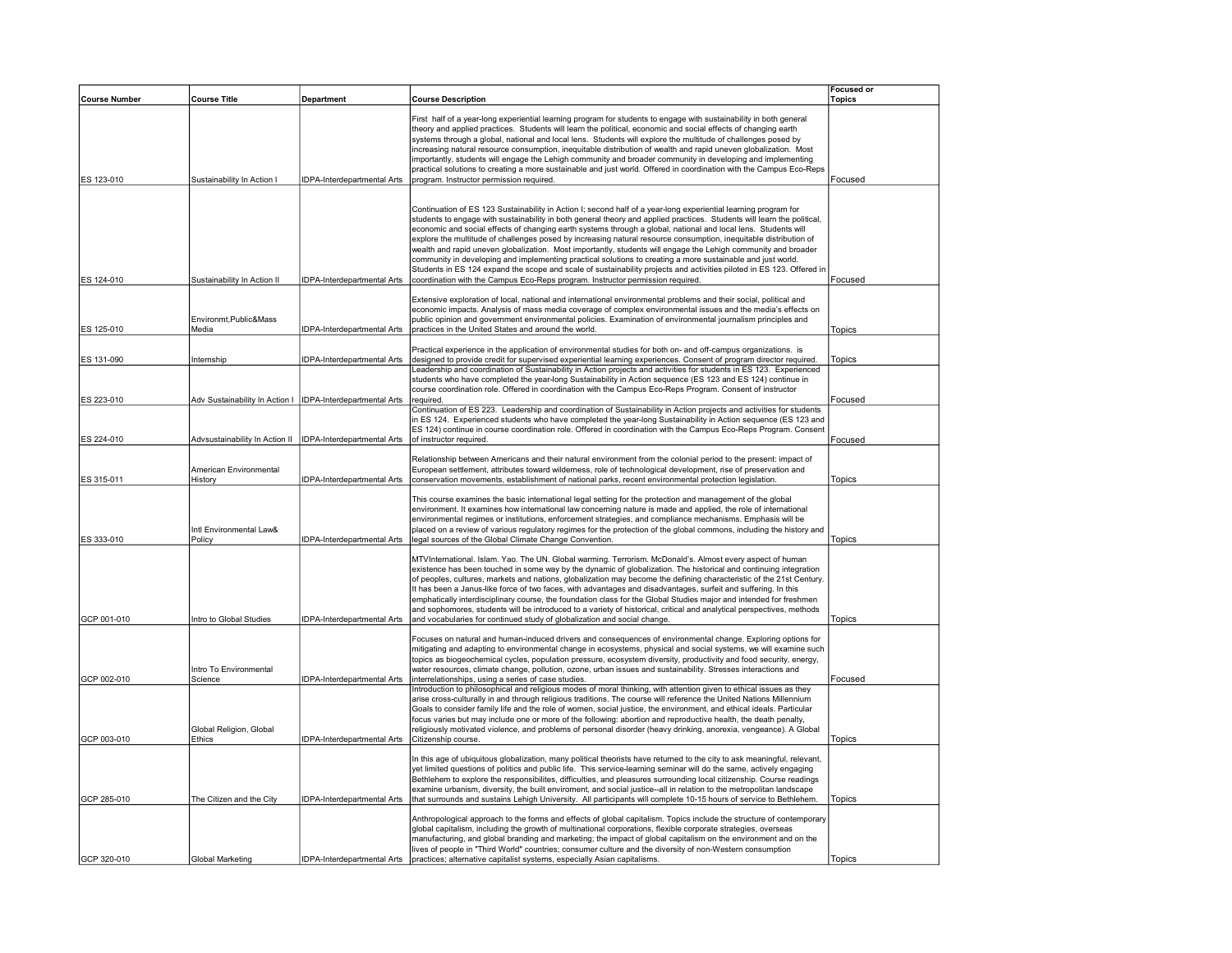|                            |                                    |                                                                          |                                                                                                                                                                                                                                                                                                                                                                                                                                                                                                                                                                                                                                                                                                                                                                                                                                                                                                                               | <b>Focused or</b>              |
|----------------------------|------------------------------------|--------------------------------------------------------------------------|-------------------------------------------------------------------------------------------------------------------------------------------------------------------------------------------------------------------------------------------------------------------------------------------------------------------------------------------------------------------------------------------------------------------------------------------------------------------------------------------------------------------------------------------------------------------------------------------------------------------------------------------------------------------------------------------------------------------------------------------------------------------------------------------------------------------------------------------------------------------------------------------------------------------------------|--------------------------------|
| <b>Course Number</b>       | <b>Course Title</b>                | Department                                                               | <b>Course Description</b>                                                                                                                                                                                                                                                                                                                                                                                                                                                                                                                                                                                                                                                                                                                                                                                                                                                                                                     | <b>Topics</b>                  |
| ES 123-010                 | Sustainability In Action I         | IDPA-Interdepartmental Arts                                              | First half of a year-long experiential learning program for students to engage with sustainability in both general<br>theory and applied practices. Students will learn the political, economic and social effects of changing earth<br>systems through a global, national and local lens. Students will explore the multitude of challenges posed by<br>increasing natural resource consumption, inequitable distribution of wealth and rapid uneven globalization. Most<br>importantly, students will engage the Lehigh community and broader community in developing and implementing<br>practical solutions to creating a more sustainable and just world. Offered in coordination with the Campus Eco-Reps<br>program. Instructor permission required.                                                                                                                                                                   | Focused                        |
|                            |                                    |                                                                          |                                                                                                                                                                                                                                                                                                                                                                                                                                                                                                                                                                                                                                                                                                                                                                                                                                                                                                                               |                                |
| ES 124-010                 | Sustainability In Action II        | <b>IDPA-Interdepartmental Arts</b>                                       | Continuation of ES 123 Sustainability in Action I; second half of a year-long experiential learning program for<br>students to engage with sustainability in both general theory and applied practices. Students will learn the political,<br>economic and social effects of changing earth systems through a global, national and local lens. Students will<br>explore the multitude of challenges posed by increasing natural resource consumption, inequitable distribution of<br>wealth and rapid uneven globalization. Most importantly, students will engage the Lehigh community and broader<br>community in developing and implementing practical solutions to creating a more sustainable and just world.<br>Students in ES 124 expand the scope and scale of sustainability projects and activities piloted in ES 123. Offered ii<br>coordination with the Campus Eco-Reps program. Instructor permission required. | Focused                        |
|                            | Environmt, Public&Mass             |                                                                          | Extensive exploration of local, national and international environmental problems and their social, political and<br>economic impacts. Analysis of mass media coverage of complex environmental issues and the media's effects on<br>public opinion and government environmental policies. Examination of environmental journalism principles and                                                                                                                                                                                                                                                                                                                                                                                                                                                                                                                                                                             |                                |
| ES 125-010                 | Media                              | <b>IDPA-Interdepartmental Arts</b>                                       | practices in the United States and around the world.                                                                                                                                                                                                                                                                                                                                                                                                                                                                                                                                                                                                                                                                                                                                                                                                                                                                          | Topics                         |
| ES 131-090                 | Internship                         | DPA-Interdepartmental Arts                                               | Practical experience in the application of environmental studies for both on- and off-campus organizations. is<br>designed to provide credit for supervised experiential learning experiences. Consent of program director required.<br>Leadership and coordination of Sustainability in Action projects and activities for students in ES 123. Experienced<br>students who have completed the year-long Sustainability in Action sequence (ES 123 and ES 124) continue in                                                                                                                                                                                                                                                                                                                                                                                                                                                    | <b>Topics</b>                  |
|                            |                                    |                                                                          | course coordination role. Offered in coordination with the Campus Eco-Reps Program. Consent of instructor                                                                                                                                                                                                                                                                                                                                                                                                                                                                                                                                                                                                                                                                                                                                                                                                                     |                                |
| ES 223-010                 | Adv Sustainability In Action I     | IDPA-Interdepartmental Arts                                              | required.                                                                                                                                                                                                                                                                                                                                                                                                                                                                                                                                                                                                                                                                                                                                                                                                                                                                                                                     | Focused                        |
| ES 224-010                 | Advsustainability In Action II     | IDPA-Interdepartmental Arts                                              | Continuation of ES 223. Leadership and coordination of Sustainability in Action projects and activities for students<br>in ES 124. Experienced students who have completed the year-long Sustainability in Action sequence (ES 123 and<br>ES 124) continue in course coordination role. Offered in coordination with the Campus Eco-Reps Program. Consent<br>of instructor required.                                                                                                                                                                                                                                                                                                                                                                                                                                                                                                                                          | Focused                        |
|                            | American Environmental             |                                                                          | Relationship between Americans and their natural environment from the colonial period to the present: impact of<br>European settlement, attributes toward wilderness, role of technological development, rise of preservation and                                                                                                                                                                                                                                                                                                                                                                                                                                                                                                                                                                                                                                                                                             |                                |
| ES 315-011                 | History                            |                                                                          | IDPA-Interdepartmental Arts conservation movements, establishment of national parks, recent environmental protection legislation.                                                                                                                                                                                                                                                                                                                                                                                                                                                                                                                                                                                                                                                                                                                                                                                             | Topics                         |
| ES 333-010                 | Intl Environmental Law&<br>Policy  | <b>IDPA-Interdepartmental Arts</b>                                       | This course examines the basic international legal setting for the protection and management of the global<br>environment. It examines how international law concerning nature is made and applied, the role of international<br>environmental regimes or institutions, enforcement strategies, and compliance mechanisms. Emphasis will be<br>placed on a review of various regulatory regimes for the protection of the global commons, including the history and<br>legal sources of the Global Climate Change Convention.                                                                                                                                                                                                                                                                                                                                                                                                 | Topics                         |
| GCP 001-010                | Intro to Global Studies            | IDPA-Interdepartmental Arts                                              | MTVInternational. Islam. Yao. The UN. Global warming. Terrorism. McDonald's. Almost every aspect of human<br>existence has been touched in some way by the dynamic of globalization. The historical and continuing integration<br>of peoples, cultures, markets and nations, globalization may become the defining characteristic of the 21st Century.<br>It has been a Janus-like force of two faces, with advantages and disadvantages, surfeit and suffering. In this<br>emphatically interdisciplinary course, the foundation class for the Global Studies major and intended for freshmen<br>and sophomores, students will be introduced to a variety of historical, critical and analytical perspectives, methods<br>and vocabularies for continued study of globalization and social change.                                                                                                                           | <b>Topics</b>                  |
| GCP 002-010                | Intro To Environmental<br>Science  | <b>IDPA-Interdepartmental Arts</b>                                       | Focuses on natural and human-induced drivers and consequences of environmental change. Exploring options for<br>mitigating and adapting to environmental change in ecosystems, physical and social systems, we will examine such<br>topics as biogeochemical cycles, population pressure, ecosystem diversity, productivity and food security, energy,<br>water resources, climate change, pollution, ozone, urban issues and sustainability. Stresses interactions and<br>interrelationships, using a series of case studies.                                                                                                                                                                                                                                                                                                                                                                                                | Focused                        |
|                            | Global Religion, Global            |                                                                          | Introduction to philosophical and religious modes of moral thinking, with attention given to ethical issues as they<br>arise cross-culturally in and through religious traditions. The course will reference the United Nations Millennium<br>Goals to consider family life and the role of women, social justice, the environment, and ethical ideals. Particular<br>focus varies but may include one or more of the following: abortion and reproductive health, the death penalty,<br>religiously motivated violence, and problems of personal disorder (heavy drinking, anorexia, vengeance). A Global                                                                                                                                                                                                                                                                                                                    |                                |
| GCP 003-010<br>GCP 285-010 | Ethics<br>The Citizen and the City | <b>IDPA-Interdepartmental Arts</b><br><b>IDPA-Interdepartmental Arts</b> | Citizenship course.<br>In this age of ubiquitous globalization, many political theorists have returned to the city to ask meaningful, relevant,<br>yet limited questions of politics and public life. This service-learning seminar will do the same, actively engaging<br>Bethlehem to explore the responsibilites, difficulties, and pleasures surrounding local citizenship. Course readings<br>examine urbanism, diversity, the built enviroment, and social justice--all in relation to the metropolitan landscape<br>that surrounds and sustains Lehigh University. All participants will complete 10-15 hours of service to Bethlehem.                                                                                                                                                                                                                                                                                 | <b>Topics</b><br><b>Topics</b> |
| GCP 320-010                | Global Marketing                   | <b>IDPA-Interdepartmental Arts</b>                                       | Anthropological approach to the forms and effects of global capitalism. Topics include the structure of contemporary<br>global capitalism, including the growth of multinational corporations, flexible corporate strategies, overseas<br>manufacturing, and global branding and marketing; the impact of global capitalism on the environment and on the<br>lives of people in "Third World" countries; consumer culture and the diversity of non-Western consumption<br>oractices: alternative capitalist systems, especially Asian capitalisms.                                                                                                                                                                                                                                                                                                                                                                            | <b>Topics</b>                  |
|                            |                                    |                                                                          |                                                                                                                                                                                                                                                                                                                                                                                                                                                                                                                                                                                                                                                                                                                                                                                                                                                                                                                               |                                |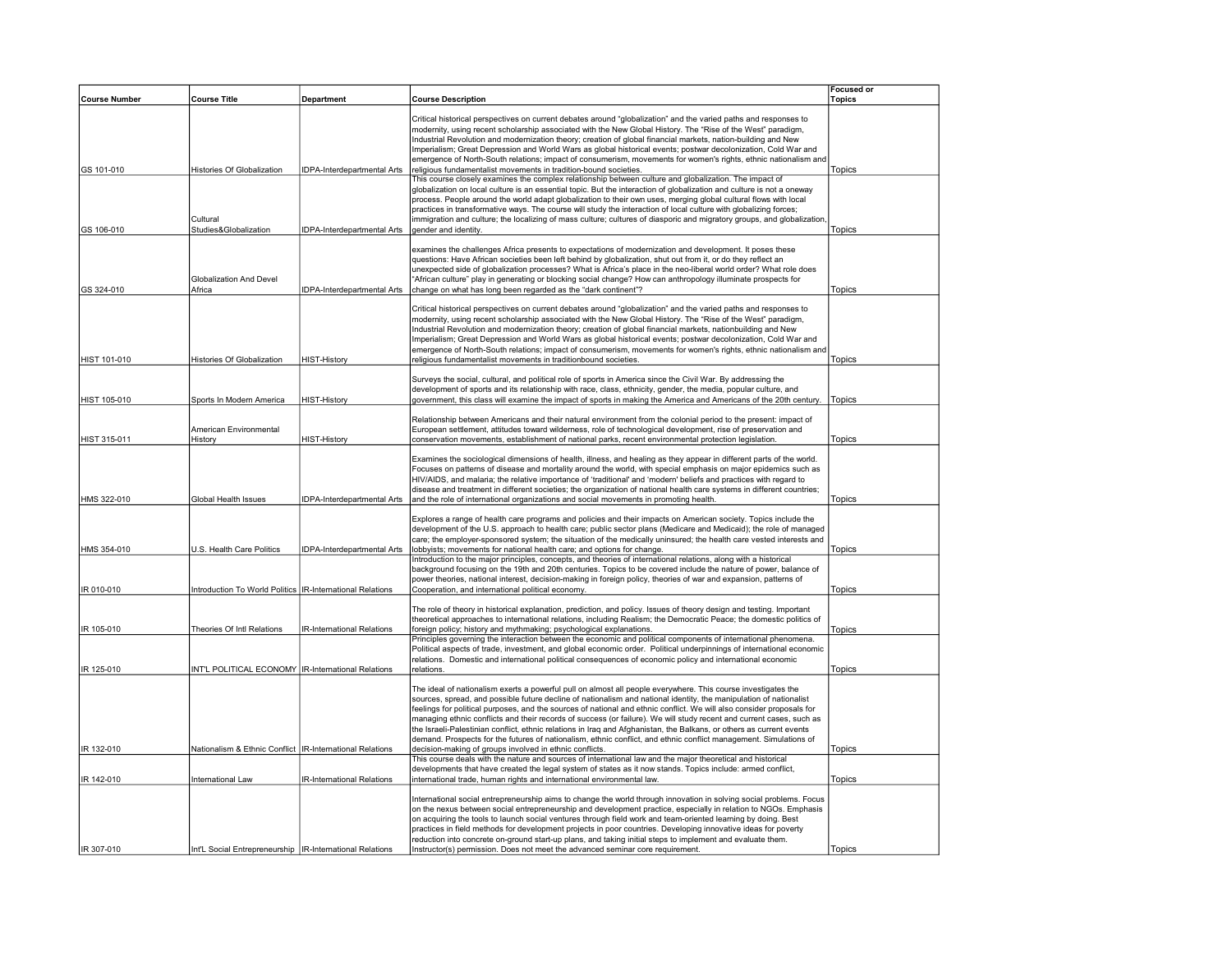|                      |                                                             |                             |                                                                                                                                                                                                                                                                                                                                                                                                                                                                                                                                                                                                                                                                                                                                   | <b>Focused or</b> |
|----------------------|-------------------------------------------------------------|-----------------------------|-----------------------------------------------------------------------------------------------------------------------------------------------------------------------------------------------------------------------------------------------------------------------------------------------------------------------------------------------------------------------------------------------------------------------------------------------------------------------------------------------------------------------------------------------------------------------------------------------------------------------------------------------------------------------------------------------------------------------------------|-------------------|
| <b>Course Number</b> | <b>Course Title</b>                                         | Department                  | <b>Course Description</b>                                                                                                                                                                                                                                                                                                                                                                                                                                                                                                                                                                                                                                                                                                         | <b>Topics</b>     |
| GS 101-010           | Histories Of Globalization                                  | IDPA-Interdepartmental Arts | Critical historical perspectives on current debates around "globalization" and the varied paths and responses to<br>modernity, using recent scholarship associated with the New Global History. The "Rise of the West" paradigm,<br>Industrial Revolution and modernization theory; creation of global financial markets, nation-building and New<br>Imperialism; Great Depression and World Wars as global historical events; postwar decolonization, Cold War and<br>emergence of North-South relations; impact of consumerism, movements for women's rights, ethnic nationalism and<br>religious fundamentalist movements in tradition-bound societies.                                                                        | Topics            |
|                      |                                                             |                             | This course closely examines the complex relationship between culture and globalization. The impact of                                                                                                                                                                                                                                                                                                                                                                                                                                                                                                                                                                                                                            |                   |
| GS 106-010           | Cultural<br>Studies&Globalization                           | IDPA-Interdepartmental Arts | globalization on local culture is an essential topic. But the interaction of globalization and culture is not a oneway<br>process. People around the world adapt globalization to their own uses, merging global cultural flows with local<br>practices in transformative ways. The course will study the interaction of local culture with globalizing forces;<br>immigration and culture; the localizing of mass culture; cultures of diasporic and migratory groups, and globalization<br>gender and identity.                                                                                                                                                                                                                 | Topics            |
|                      | Globalization And Devel                                     |                             | examines the challenges Africa presents to expectations of modernization and development. It poses these<br>questions: Have African societies been left behind by globalization, shut out from it, or do they reflect an<br>unexpected side of globalization processes? What is Africa's place in the neo-liberal world order? What role does<br>"African culture" play in generating or blocking social change? How can anthropology illuminate prospects for                                                                                                                                                                                                                                                                    |                   |
| GS 324-010           | Africa                                                      | IDPA-Interdepartmental Arts | change on what has long been regarded as the "dark continent"?                                                                                                                                                                                                                                                                                                                                                                                                                                                                                                                                                                                                                                                                    | Topics            |
| HIST 101-010         | Histories Of Globalization                                  | <b>HIST-History</b>         | Critical historical perspectives on current debates around "globalization" and the varied paths and responses to<br>modernity, using recent scholarship associated with the New Global History. The "Rise of the West" paradigm,<br>Industrial Revolution and modernization theory; creation of global financial markets, nationbuilding and New<br>Imperialism; Great Depression and World Wars as global historical events; postwar decolonization, Cold War and<br>emergence of North-South relations; impact of consumerism, movements for women's rights, ethnic nationalism and<br>religious fundamentalist movements in traditionbound societies.                                                                          | <b>Topics</b>     |
|                      |                                                             |                             | Surveys the social, cultural, and political role of sports in America since the Civil War. By addressing the<br>development of sports and its relationship with race, class, ethnicity, gender, the media, popular culture, and                                                                                                                                                                                                                                                                                                                                                                                                                                                                                                   |                   |
| HIST 105-010         | Sports In Modern America                                    | <b>HIST-History</b>         | government, this class will examine the impact of sports in making the America and Americans of the 20th century.                                                                                                                                                                                                                                                                                                                                                                                                                                                                                                                                                                                                                 | Topics            |
| HIST 315-011         | American Environmental<br>History                           | HIST-History                | Relationship between Americans and their natural environment from the colonial period to the present: impact of<br>European settlement, attitudes toward wilderness, role of technological development, rise of preservation and<br>conservation movements, establishment of national parks, recent environmental protection legislation.                                                                                                                                                                                                                                                                                                                                                                                         | Topics            |
| HMS 322-010          | Global Health Issues                                        | IDPA-Interdepartmental Arts | Examines the sociological dimensions of health, illness, and healing as they appear in different parts of the world.<br>Focuses on patterns of disease and mortality around the world, with special emphasis on major epidemics such as<br>HIV/AIDS, and malaria; the relative importance of 'traditional' and 'modern' beliefs and practices with regard to<br>disease and treatment in different societies; the organization of national health care systems in different countries;<br>and the role of international organizations and social movements in promoting health.                                                                                                                                                   | Topics            |
| HMS 354-010          | U.S. Health Care Politics                                   | IDPA-Interdepartmental Arts | Explores a range of health care programs and policies and their impacts on American society. Topics include the<br>development of the U.S. approach to health care; public sector plans (Medicare and Medicaid); the role of managed<br>care; the employer-sponsored system; the situation of the medically uninsured; the health care vested interests and<br>lobbyists; movements for national health care; and options for change.<br>Introduction to the major principles, concepts, and theories of international relations, along with a historical                                                                                                                                                                         | <b>Topics</b>     |
|                      |                                                             |                             | background focusing on the 19th and 20th centuries. Topics to be covered include the nature of power, balance of<br>power theories, national interest, decision-making in foreign policy, theories of war and expansion, patterns of                                                                                                                                                                                                                                                                                                                                                                                                                                                                                              |                   |
| IR 010-010           | Introduction To World Politics   IR-International Relations |                             | Cooperation, and international political economy.                                                                                                                                                                                                                                                                                                                                                                                                                                                                                                                                                                                                                                                                                 | Topics            |
| IR 105-010           | Theories Of Intl Relations                                  | IR-International Relations  | The role of theory in historical explanation, prediction, and policy. Issues of theory design and testing. Important<br>theoretical approaches to international relations, including Realism; the Democratic Peace; the domestic politics of<br>foreign policy; history and mythmaking; psychological explanations.<br>Principles governing the interaction between the economic and political components of international phenomena.                                                                                                                                                                                                                                                                                             | Topics            |
|                      |                                                             |                             | Political aspects of trade, investment, and global economic order. Political underpinnings of international economic<br>relations. Domestic and international political consequences of economic policy and international economic                                                                                                                                                                                                                                                                                                                                                                                                                                                                                                |                   |
| IR 125-010           | INT'L POLITICAL ECONOMY   IR-International Relations        |                             | relations.                                                                                                                                                                                                                                                                                                                                                                                                                                                                                                                                                                                                                                                                                                                        | Topics            |
|                      |                                                             |                             | The ideal of nationalism exerts a powerful pull on almost all people everywhere. This course investigates the<br>sources, spread, and possible future decline of nationalism and national identity, the manipulation of nationalist<br>feelings for political purposes, and the sources of national and ethnic conflict. We will also consider proposals for<br>managing ethnic conflicts and their records of success (or failure). We will study recent and current cases, such as<br>the Israeli-Palestinian conflict, ethnic relations in Iraq and Afghanistan, the Balkans, or others as current events<br>demand. Prospects for the futures of nationalism, ethnic conflict, and ethnic conflict management. Simulations of |                   |
| IR 132-010           | Nationalism & Ethnic Conflict   IR-International Relations  |                             | decision-making of groups involved in ethnic conflicts.                                                                                                                                                                                                                                                                                                                                                                                                                                                                                                                                                                                                                                                                           | <b>Topics</b>     |
| IR 142-010           | <b>International Law</b>                                    | IR-International Relations  | This course deals with the nature and sources of international law and the major theoretical and historical<br>developments that have created the legal system of states as it now stands. Topics include: armed conflict,<br>international trade, human rights and international environmental law.                                                                                                                                                                                                                                                                                                                                                                                                                              | Topics            |
|                      |                                                             |                             | International social entrepreneurship aims to change the world through innovation in solving social problems. Focus<br>on the nexus between social entrepreneurship and development practice, especially in relation to NGOs. Emphasis<br>on acquiring the tools to launch social ventures through field work and team-oriented learning by doing. Best<br>practices in field methods for development projects in poor countries. Developing innovative ideas for poverty<br>reduction into concrete on-ground start-up plans, and taking initial steps to implement and evaluate them.                                                                                                                                           |                   |
| IR 307-010           | Int'L Social Entrepreneurship   IR-International Relations  |                             | Instructor(s) permission. Does not meet the advanced seminar core requirement.                                                                                                                                                                                                                                                                                                                                                                                                                                                                                                                                                                                                                                                    | Topics            |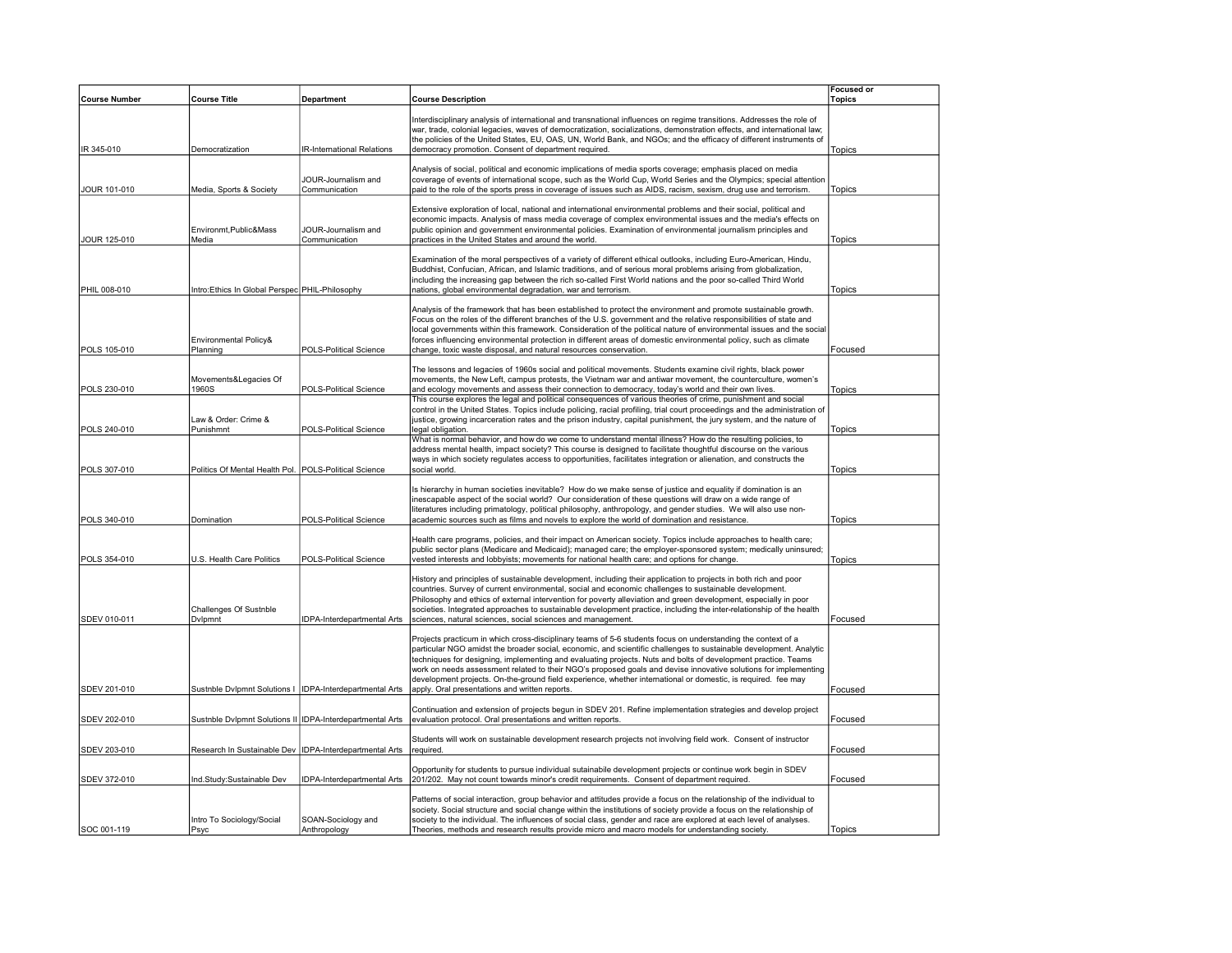|                      |                                                       |                                                             |                                                                                                                                                                                                                                                                                                                                                                                                                                                                                                                                                                                                                                           | <b>Focused or</b> |
|----------------------|-------------------------------------------------------|-------------------------------------------------------------|-------------------------------------------------------------------------------------------------------------------------------------------------------------------------------------------------------------------------------------------------------------------------------------------------------------------------------------------------------------------------------------------------------------------------------------------------------------------------------------------------------------------------------------------------------------------------------------------------------------------------------------------|-------------------|
| <b>Course Number</b> | <b>Course Title</b>                                   | <b>Department</b>                                           | <b>Course Description</b>                                                                                                                                                                                                                                                                                                                                                                                                                                                                                                                                                                                                                 | <b>Topics</b>     |
| IR 345-010           | Democratization                                       | <b>IR-International Relations</b>                           | Interdisciplinary analysis of international and transnational influences on regime transitions. Addresses the role of<br>war, trade, colonial legacies, waves of democratization, socializations, demonstration effects, and international law;<br>the policies of the United States, EU, OAS, UN, World Bank, and NGOs; and the efficacy of different instruments of<br>democracy promotion. Consent of department required.                                                                                                                                                                                                             | Topics            |
| JOUR 101-010         | Media, Sports & Society                               | JOUR-Journalism and<br>Communication                        | Analysis of social, political and economic implications of media sports coverage; emphasis placed on media<br>coverage of events of international scope, such as the World Cup, World Series and the Olympics; special attention<br>paid to the role of the sports press in coverage of issues such as AIDS, racism, sexism, drug use and terrorism.                                                                                                                                                                                                                                                                                      | <b>Topics</b>     |
| JOUR 125-010         | Environmt, Public&Mass<br>Media                       | JOUR-Journalism and<br>Communication                        | Extensive exploration of local, national and international environmental problems and their social, political and<br>economic impacts. Analysis of mass media coverage of complex environmental issues and the media's effects on<br>public opinion and government environmental policies. Examination of environmental journalism principles and<br>practices in the United States and around the world.                                                                                                                                                                                                                                 | Topics            |
| PHIL 008-010         | Intro:Ethics In Global Perspec PHIL-Philosophy        |                                                             | Examination of the moral perspectives of a variety of different ethical outlooks, including Euro-American, Hindu,<br>Buddhist, Confucian, African, and Islamic traditions, and of serious moral problems arising from globalization,<br>including the increasing gap between the rich so-called First World nations and the poor so-called Third World<br>nations, global environmental degradation, war and terrorism.                                                                                                                                                                                                                   | <b>Topics</b>     |
| POLS 105-010         | Environmental Policy&<br>Planning                     | POLS-Political Science                                      | Analysis of the framework that has been established to protect the environment and promote sustainable growth.<br>Focus on the roles of the different branches of the U.S. government and the relative responsibilities of state and<br>local governments within this framework. Consideration of the political nature of environmental issues and the social<br>forces influencing environmental protection in different areas of domestic environmental policy, such as climate<br>change, toxic waste disposal, and natural resources conservation.                                                                                    | Focused           |
| POLS 230-010         | Movements&Legacies Of<br>1960S                        | POLS-Political Science                                      | The lessons and legacies of 1960s social and political movements. Students examine civil rights, black power<br>movements, the New Left, campus protests, the Vietnam war and antiwar movement, the counterculture, women's<br>and ecology movements and assess their connection to democracy, today's world and their own lives.                                                                                                                                                                                                                                                                                                         | Topics            |
| POLS 240-010         | Law & Order: Crime &<br>Punishmnt                     | POLS-Political Science                                      | This course explores the legal and political consequences of various theories of crime, punishment and social<br>control in the United States. Topics include policing, racial profiling, trial court proceedings and the administration of<br>justice, growing incarceration rates and the prison industry, capital punishment, the jury system, and the nature of<br>legal obligation.                                                                                                                                                                                                                                                  | <b>Topics</b>     |
| POLS 307-010         | Politics Of Mental Health Pol. POLS-Political Science |                                                             | What is normal behavior, and how do we come to understand mental illness? How do the resulting policies, to<br>address mental health, impact society? This course is designed to facilitate thoughtful discourse on the various<br>ways in which society regulates access to opportunities, facilitates integration or alienation, and constructs the<br>social world.                                                                                                                                                                                                                                                                    | Topics            |
| POLS 340-010         | Domination                                            | POLS-Political Science                                      | Is hierarchy in human societies inevitable? How do we make sense of justice and equality if domination is an<br>inescapable aspect of the social world? Our consideration of these questions will draw on a wide range of<br>literatures including primatology, political philosophy, anthropology, and gender studies. We will also use non-<br>academic sources such as films and novels to explore the world of domination and resistance.                                                                                                                                                                                             | Topics            |
| POLS 354-010         | U.S. Health Care Politics                             | POLS-Political Science                                      | Health care programs, policies, and their impact on American society. Topics include approaches to health care;<br>public sector plans (Medicare and Medicaid); managed care; the employer-sponsored system; medically uninsured;<br>vested interests and lobbyists; movements for national health care; and options for change.                                                                                                                                                                                                                                                                                                          | Topics            |
| SDEV 010-011         | Challenges Of Sustnble<br>Dvlpmnt                     | DPA-Interdepartmental Arts                                  | History and principles of sustainable development, including their application to projects in both rich and poor<br>countries. Survey of current environmental, social and economic challenges to sustainable development.<br>Philosophy and ethics of external intervention for poverty alleviation and green development, especially in poor<br>societies. Integrated approaches to sustainable development practice, including the inter-relationship of the health<br>sciences, natural sciences, social sciences and management.                                                                                                     | Focused           |
| SDEV 201-010         | Sustnble Dvlpmnt Solutions I                          | IDPA-Interdepartmental Arts                                 | Projects practicum in which cross-disciplinary teams of 5-6 students focus on understanding the context of a<br>particular NGO amidst the broader social, economic, and scientific challenges to sustainable development. Analytic<br>techniques for designing, implementing and evaluating projects. Nuts and bolts of development practice. Teams<br>work on needs assessment related to their NGO's proposed goals and devise innovative solutions for implementing<br>development projects. On-the-ground field experience, whether international or domestic, is required. fee may<br>apply. Oral presentations and written reports. | Focused           |
| SDEV 202-010         |                                                       | Sustnble Dvlpmnt Solutions II   IDPA-Interdepartmental Arts | Continuation and extension of projects begun in SDEV 201. Refine implementation strategies and develop project<br>evaluation protocol. Oral presentations and written reports                                                                                                                                                                                                                                                                                                                                                                                                                                                             | Focused           |
| SDEV 203-010         | Research In Sustainable Dev                           | IDPA-Interdepartmental Arts                                 | Students will work on sustainable development research projects not involving field work. Consent of instructor<br>required.                                                                                                                                                                                                                                                                                                                                                                                                                                                                                                              | Focused           |
| SDEV 372-010         | Ind.Study:Sustainable Dev                             | <b>IDPA-Interdepartmental Arts</b>                          | Opportunity for students to pursue individual sutainabile development projects or continue work begin in SDEV<br>201/202. May not count towards minor's credit requirements. Consent of department required.                                                                                                                                                                                                                                                                                                                                                                                                                              | Focused           |
|                      | Intro To Sociology/Social                             | SOAN-Sociology and                                          | Patterns of social interaction, group behavior and attitudes provide a focus on the relationship of the individual to<br>society. Social structure and social change within the institutions of society provide a focus on the relationship of<br>society to the individual. The influences of social class, gender and race are explored at each level of analyses.                                                                                                                                                                                                                                                                      |                   |
| SOC 001-119          | Psvc                                                  | Anthropology                                                | Theories, methods and research results provide micro and macro models for understanding society.                                                                                                                                                                                                                                                                                                                                                                                                                                                                                                                                          | Topics            |